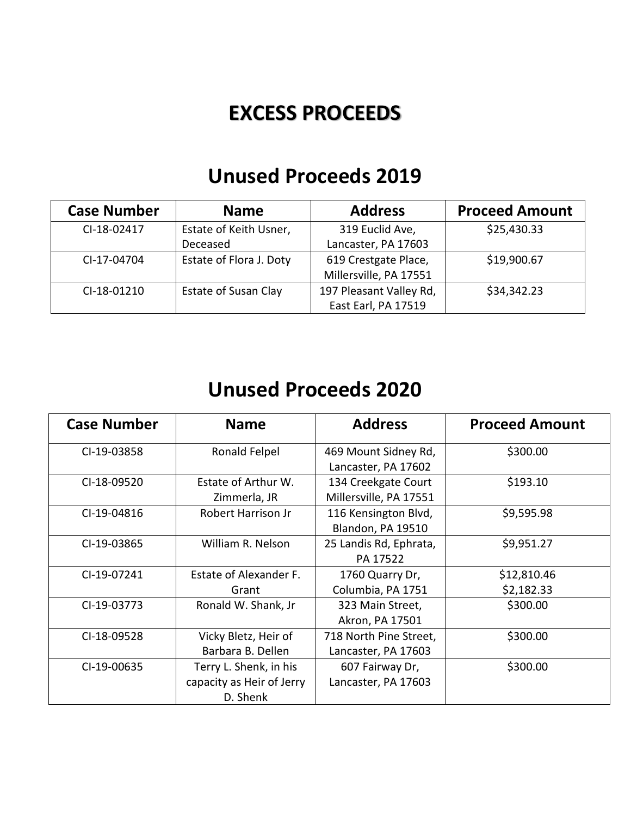## **EXCESS PROCEEDS**

## **Unused Proceeds 2019**

| <b>Case Number</b> | <b>Name</b>                 | <b>Address</b>          | <b>Proceed Amount</b> |
|--------------------|-----------------------------|-------------------------|-----------------------|
| CI-18-02417        | Estate of Keith Usner,      | 319 Euclid Ave,         | \$25,430.33           |
|                    | Deceased                    | Lancaster, PA 17603     |                       |
| CI-17-04704        | Estate of Flora J. Doty     | 619 Crestgate Place,    | \$19,900.67           |
|                    |                             | Millersville, PA 17551  |                       |
| CI-18-01210        | <b>Estate of Susan Clay</b> | 197 Pleasant Valley Rd, | \$34,342.23           |
|                    |                             | East Earl, PA 17519     |                       |

## **Unused Proceeds 2020**

| <b>Case Number</b> | <b>Name</b>                                                     | <b>Address</b>                                | <b>Proceed Amount</b>     |
|--------------------|-----------------------------------------------------------------|-----------------------------------------------|---------------------------|
| CI-19-03858        | Ronald Felpel                                                   | 469 Mount Sidney Rd,<br>Lancaster, PA 17602   | \$300.00                  |
| CI-18-09520        | Estate of Arthur W.<br>Zimmerla, JR                             | 134 Creekgate Court<br>Millersville, PA 17551 | \$193.10                  |
| CI-19-04816        | Robert Harrison Jr                                              | 116 Kensington Blvd,<br>Blandon, PA 19510     | \$9,595.98                |
| CI-19-03865        | William R. Nelson                                               | 25 Landis Rd, Ephrata,<br>PA 17522            | \$9,951.27                |
| CI-19-07241        | Estate of Alexander F.<br>Grant                                 | 1760 Quarry Dr,<br>Columbia, PA 1751          | \$12,810.46<br>\$2,182.33 |
| CI-19-03773        | Ronald W. Shank, Jr                                             | 323 Main Street,<br>Akron, PA 17501           | \$300.00                  |
| CI-18-09528        | Vicky Bletz, Heir of<br>Barbara B. Dellen                       | 718 North Pine Street,<br>Lancaster, PA 17603 | \$300.00                  |
| CI-19-00635        | Terry L. Shenk, in his<br>capacity as Heir of Jerry<br>D. Shenk | 607 Fairway Dr,<br>Lancaster, PA 17603        | \$300.00                  |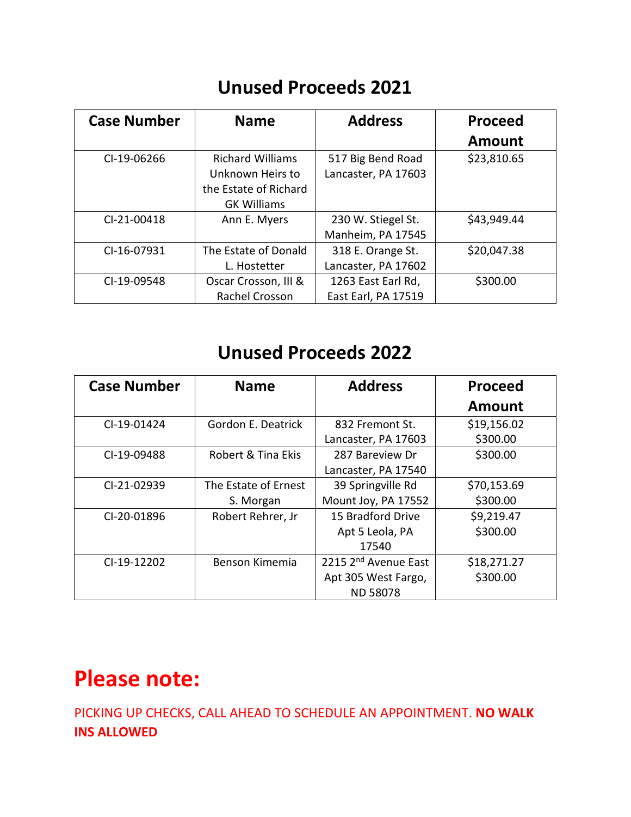#### **Unused Proceeds 2021**

| <b>Case Number</b> | <b>Name</b>             | <b>Address</b>      | <b>Proceed</b> |
|--------------------|-------------------------|---------------------|----------------|
|                    |                         |                     | Amount         |
| CI-19-06266        | <b>Richard Williams</b> | 517 Big Bend Road   | \$23,810.65    |
|                    | Unknown Heirs to        | Lancaster, PA 17603 |                |
|                    | the Estate of Richard   |                     |                |
|                    | <b>GK Williams</b>      |                     |                |
| CI-21-00418        | Ann E. Myers            | 230 W. Stiegel St.  | \$43,949.44    |
|                    |                         | Manheim, PA 17545   |                |
| CI-16-07931        | The Estate of Donald    | 318 E. Orange St.   | \$20,047.38    |
|                    | L. Hostetter            | Lancaster, PA 17602 |                |
| CI-19-09548        | Oscar Crosson, III &    | 1263 East Earl Rd,  | \$300.00       |
|                    | <b>Rachel Crosson</b>   | East Earl, PA 17519 |                |

### **Unused Proceeds 2022**

| <b>Case Number</b> | <b>Name</b>          | <b>Address</b>                   | <b>Proceed</b> |
|--------------------|----------------------|----------------------------------|----------------|
|                    |                      |                                  | Amount         |
| CI-19-01424        | Gordon E. Deatrick   | 832 Fremont St.                  | \$19,156.02    |
|                    |                      | Lancaster, PA 17603              | \$300.00       |
| CI-19-09488        | Robert & Tina Ekis   | 287 Bareview Dr                  | \$300.00       |
|                    |                      | Lancaster, PA 17540              |                |
| CI-21-02939        | The Estate of Ernest | 39 Springville Rd                | \$70,153.69    |
|                    | S. Morgan            | Mount Joy, PA 17552              | \$300.00       |
| CI-20-01896        | Robert Rehrer, Jr    | 15 Bradford Drive                | \$9,219.47     |
|                    |                      | Apt 5 Leola, PA                  | \$300.00       |
|                    |                      | 17540                            |                |
| CI-19-12202        | Benson Kimemia       | 2215 2 <sup>nd</sup> Avenue East | \$18,271.27    |
|                    |                      | Apt 305 West Fargo,              | \$300.00       |
|                    |                      | <b>ND 58078</b>                  |                |

# **Please note:**

PICKING UP CHECKS, CALL AHEAD TO SCHEDULE AN APPOINTMENT. **NO WALK INS ALLOWED**